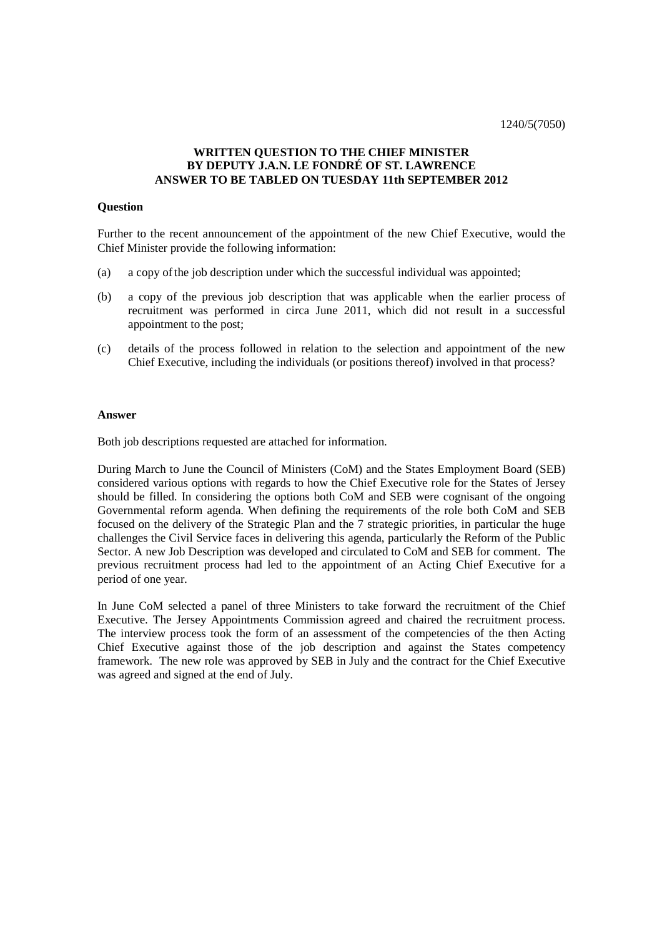#### **WRITTEN QUESTION TO THE CHIEF MINISTER BY DEPUTY J.A.N. LE FONDRÉ OF ST. LAWRENCE ANSWER TO BE TABLED ON TUESDAY 11th SEPTEMBER 2012**

#### **Question**

Further to the recent announcement of the appointment of the new Chief Executive, would the Chief Minister provide the following information:

- (a) a copy ofthe job description under which the successful individual was appointed;
- (b) a copy of the previous job description that was applicable when the earlier process of recruitment was performed in circa June 2011, which did not result in a successful appointment to the post;
- (c) details of the process followed in relation to the selection and appointment of the new Chief Executive, including the individuals (or positions thereof) involved in that process?

#### **Answer**

Both job descriptions requested are attached for information.

During March to June the Council of Ministers (CoM) and the States Employment Board (SEB) considered various options with regards to how the Chief Executive role for the States of Jersey should be filled. In considering the options both CoM and SEB were cognisant of the ongoing Governmental reform agenda. When defining the requirements of the role both CoM and SEB focused on the delivery of the Strategic Plan and the 7 strategic priorities, in particular the huge challenges the Civil Service faces in delivering this agenda, particularly the Reform of the Public Sector. A new Job Description was developed and circulated to CoM and SEB for comment. The previous recruitment process had led to the appointment of an Acting Chief Executive for a period of one year.

In June CoM selected a panel of three Ministers to take forward the recruitment of the Chief Executive. The Jersey Appointments Commission agreed and chaired the recruitment process. The interview process took the form of an assessment of the competencies of the then Acting Chief Executive against those of the job description and against the States competency framework. The new role was approved by SEB in July and the contract for the Chief Executive was agreed and signed at the end of July.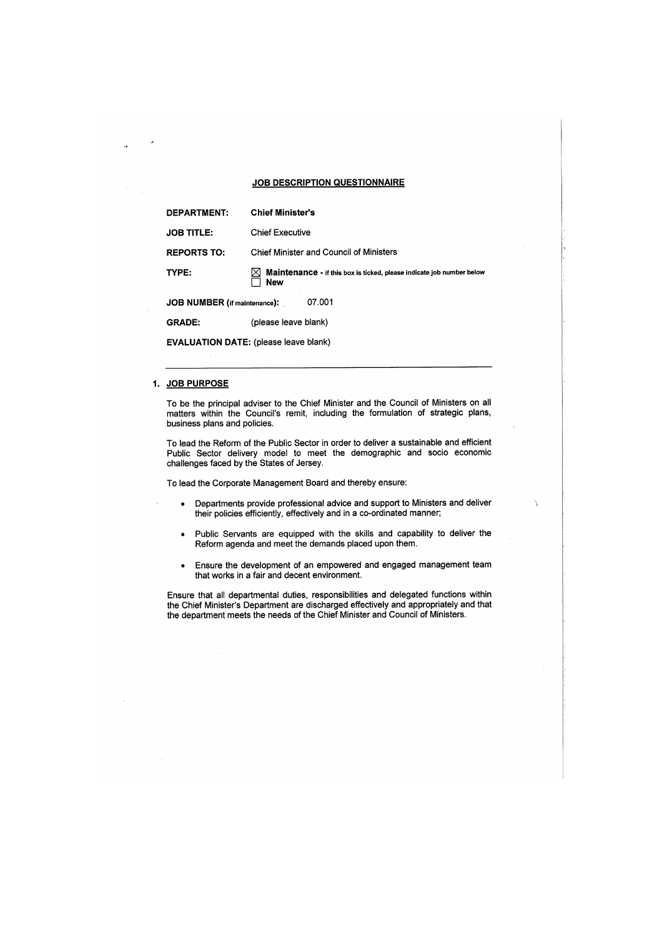#### **JOB DESCRIPTION QUESTIONNAIRE**

| <b>DEPARTMENT:</b>                            | <b>Chief Minister's</b>                                                      |
|-----------------------------------------------|------------------------------------------------------------------------------|
| <b>JOB TITLE:</b>                             | <b>Chief Executive</b>                                                       |
| <b>REPORTS TO:</b>                            | Chief Minister and Council of Ministers                                      |
| TYPE:                                         | Maintenance - if this box is ticked, please indicate job number below<br>New |
| <b>JOB NUMBER</b> (if maintenance):<br>07.001 |                                                                              |
| <b>GRADE:</b>                                 | (please leave blank)                                                         |

**EVALUATION DATE:** (please leave blank)

#### 1. JOB PURPOSE

To be the principal adviser to the Chief Minister and the Council of Ministers on all matters within the Council's remit, including the formulation of strategic plans, business plans and policies.

To lead the Reform of the Public Sector in order to deliver a sustainable and efficient Public Sector delivery model to meet the demographic and socio economic challenges faced by the States of Jersey.

To lead the Corporate Management Board and thereby ensure:

- Departments provide professional advice and support to Ministers and deliver  $\bullet$ their policies efficiently, effectively and in a co-ordinated manner;
- Public Servants are equipped with the skills and capability to deliver the  $\bullet$ Reform agenda and meet the demands placed upon them.
- Ensure the development of an empowered and engaged management team  $\bullet$ that works in a fair and decent environment.

Ensure that all departmental duties, responsibilities and delegated functions within<br>the Chief Minister's Department are discharged effectively and appropriately and that the department meets the needs of the Chief Minister and Council of Ministers.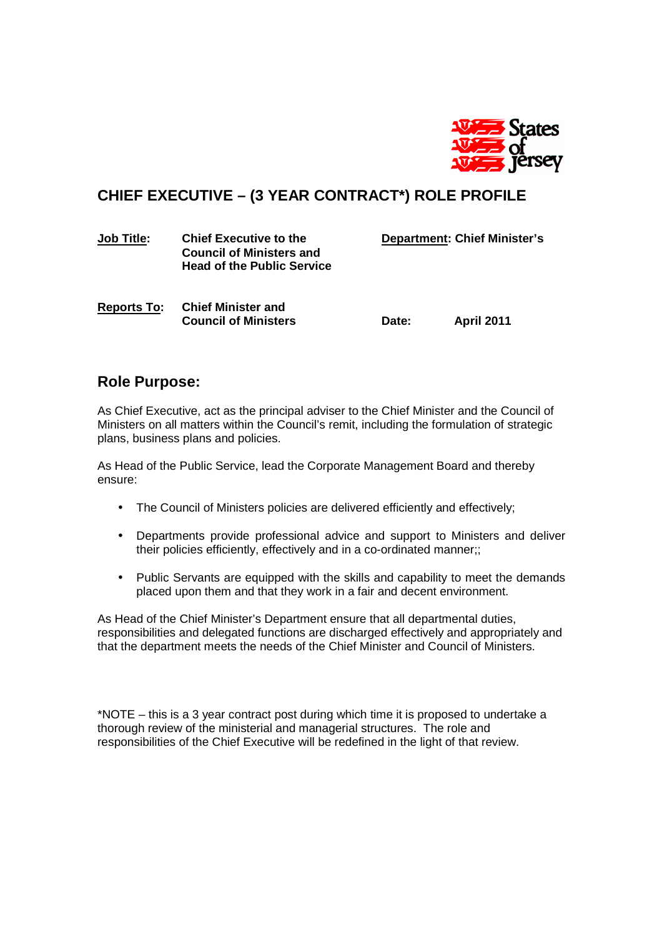

# **CHIEF EXECUTIVE – (3 YEAR CONTRACT\*) ROLE PROFILE**

| <b>Job Title:</b> | <b>Chief Executive to the</b>     |
|-------------------|-----------------------------------|
|                   | <b>Council of Ministers and</b>   |
|                   | <b>Head of the Public Service</b> |
|                   |                                   |

**Department: Chief Minister's** 

**Reports To: Chief Minister and Council of Ministers Date: April 2011** 

### **Role Purpose:**

As Chief Executive, act as the principal adviser to the Chief Minister and the Council of Ministers on all matters within the Council's remit, including the formulation of strategic plans, business plans and policies.

As Head of the Public Service, lead the Corporate Management Board and thereby ensure:

- The Council of Ministers policies are delivered efficiently and effectively;
- Departments provide professional advice and support to Ministers and deliver their policies efficiently, effectively and in a co-ordinated manner;;
- Public Servants are equipped with the skills and capability to meet the demands placed upon them and that they work in a fair and decent environment.

As Head of the Chief Minister's Department ensure that all departmental duties, responsibilities and delegated functions are discharged effectively and appropriately and that the department meets the needs of the Chief Minister and Council of Ministers.

\*NOTE – this is a 3 year contract post during which time it is proposed to undertake a thorough review of the ministerial and managerial structures. The role and responsibilities of the Chief Executive will be redefined in the light of that review.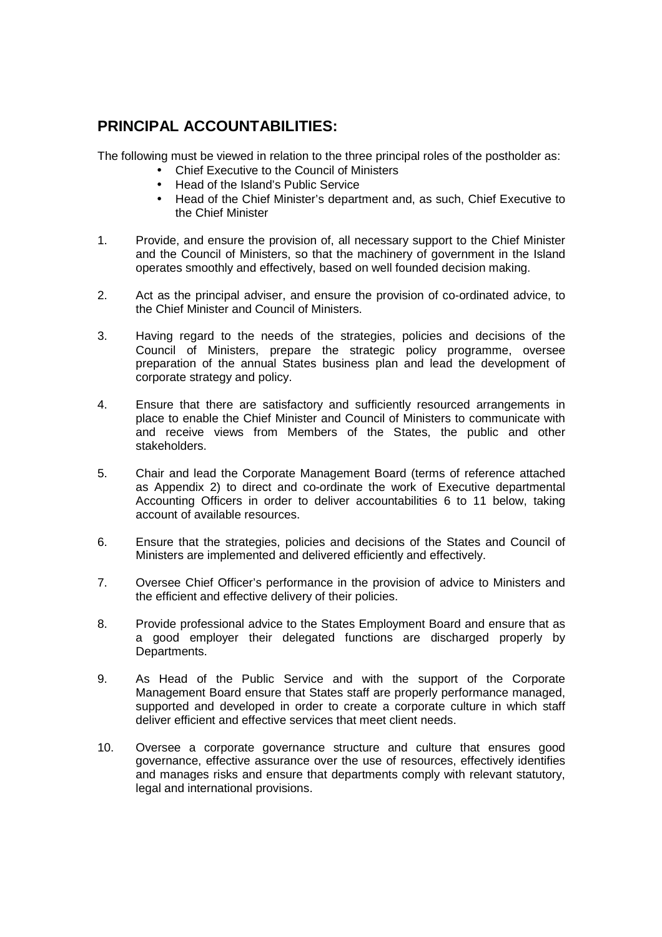## **PRINCIPAL ACCOUNTABILITIES:**

The following must be viewed in relation to the three principal roles of the postholder as:

- Chief Executive to the Council of Ministers
- Head of the Island's Public Service
- Head of the Chief Minister's department and, as such, Chief Executive to the Chief Minister
- 1. Provide, and ensure the provision of, all necessary support to the Chief Minister and the Council of Ministers, so that the machinery of government in the Island operates smoothly and effectively, based on well founded decision making.
- 2. Act as the principal adviser, and ensure the provision of co-ordinated advice, to the Chief Minister and Council of Ministers.
- 3. Having regard to the needs of the strategies, policies and decisions of the Council of Ministers, prepare the strategic policy programme, oversee preparation of the annual States business plan and lead the development of corporate strategy and policy.
- 4. Ensure that there are satisfactory and sufficiently resourced arrangements in place to enable the Chief Minister and Council of Ministers to communicate with and receive views from Members of the States, the public and other stakeholders.
- 5. Chair and lead the Corporate Management Board (terms of reference attached as Appendix 2) to direct and co-ordinate the work of Executive departmental Accounting Officers in order to deliver accountabilities 6 to 11 below, taking account of available resources.
- 6. Ensure that the strategies, policies and decisions of the States and Council of Ministers are implemented and delivered efficiently and effectively.
- 7. Oversee Chief Officer's performance in the provision of advice to Ministers and the efficient and effective delivery of their policies.
- 8. Provide professional advice to the States Employment Board and ensure that as a good employer their delegated functions are discharged properly by Departments.
- 9. As Head of the Public Service and with the support of the Corporate Management Board ensure that States staff are properly performance managed, supported and developed in order to create a corporate culture in which staff deliver efficient and effective services that meet client needs.
- 10. Oversee a corporate governance structure and culture that ensures good governance, effective assurance over the use of resources, effectively identifies and manages risks and ensure that departments comply with relevant statutory, legal and international provisions.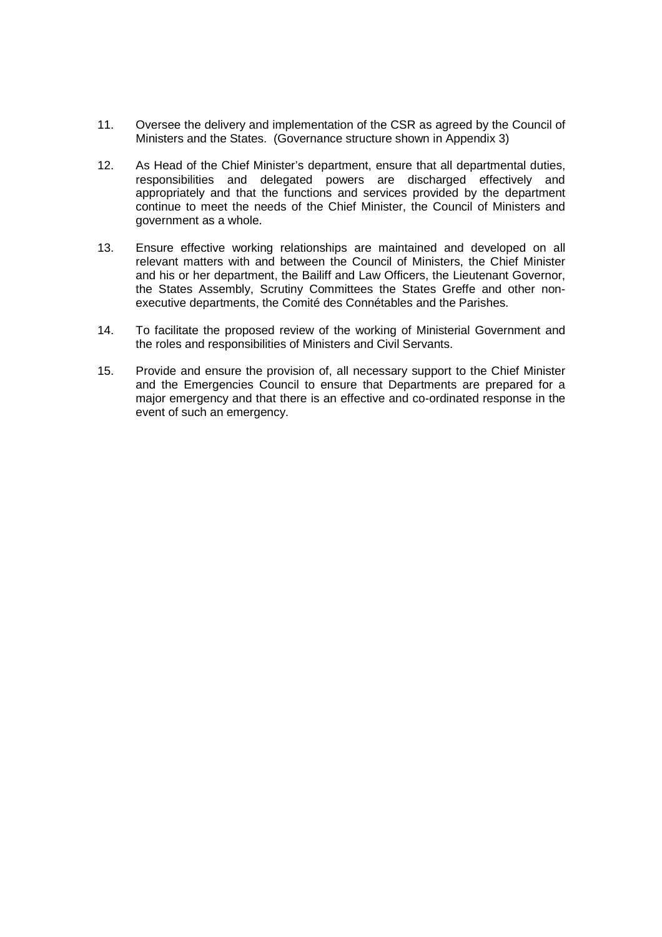- 11. Oversee the delivery and implementation of the CSR as agreed by the Council of Ministers and the States. (Governance structure shown in Appendix 3)
- 12. As Head of the Chief Minister's department, ensure that all departmental duties, responsibilities and delegated powers are discharged effectively and appropriately and that the functions and services provided by the department continue to meet the needs of the Chief Minister, the Council of Ministers and government as a whole.
- 13. Ensure effective working relationships are maintained and developed on all relevant matters with and between the Council of Ministers, the Chief Minister and his or her department, the Bailiff and Law Officers, the Lieutenant Governor, the States Assembly, Scrutiny Committees the States Greffe and other nonexecutive departments, the Comité des Connétables and the Parishes.
- 14. To facilitate the proposed review of the working of Ministerial Government and the roles and responsibilities of Ministers and Civil Servants.
- 15. Provide and ensure the provision of, all necessary support to the Chief Minister and the Emergencies Council to ensure that Departments are prepared for a major emergency and that there is an effective and co-ordinated response in the event of such an emergency.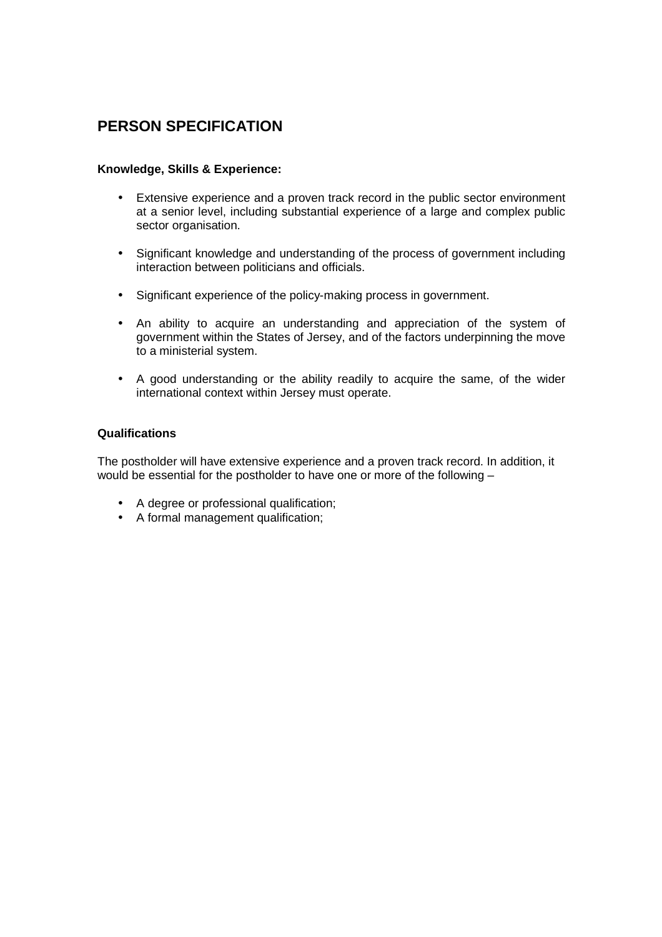# **PERSON SPECIFICATION**

#### **Knowledge, Skills & Experience:**

- Extensive experience and a proven track record in the public sector environment at a senior level, including substantial experience of a large and complex public sector organisation.
- Significant knowledge and understanding of the process of government including interaction between politicians and officials.
- Significant experience of the policy-making process in government.
- An ability to acquire an understanding and appreciation of the system of government within the States of Jersey, and of the factors underpinning the move to a ministerial system.
- A good understanding or the ability readily to acquire the same, of the wider international context within Jersey must operate.

### **Qualifications**

The postholder will have extensive experience and a proven track record. In addition, it would be essential for the postholder to have one or more of the following –

- A degree or professional qualification;
- A formal management qualification;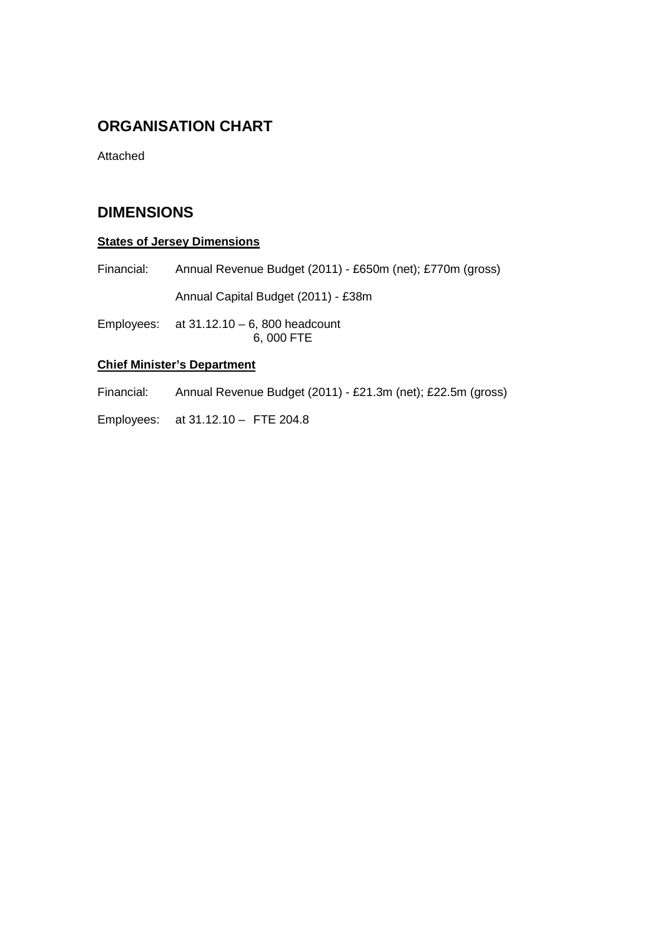## **ORGANISATION CHART**

Attached

## **DIMENSIONS**

### **States of Jersey Dimensions**

Financial: Annual Revenue Budget (2011) - £650m (net); £770m (gross)

Annual Capital Budget (2011) - £38m

Employees:  $at 31.12.10 - 6$ , 800 headcount 6, 000 FTE

### **Chief Minister's Department**

Financial: Annual Revenue Budget (2011) - £21.3m (net); £22.5m (gross)

Employees: at 31.12.10 – FTE 204.8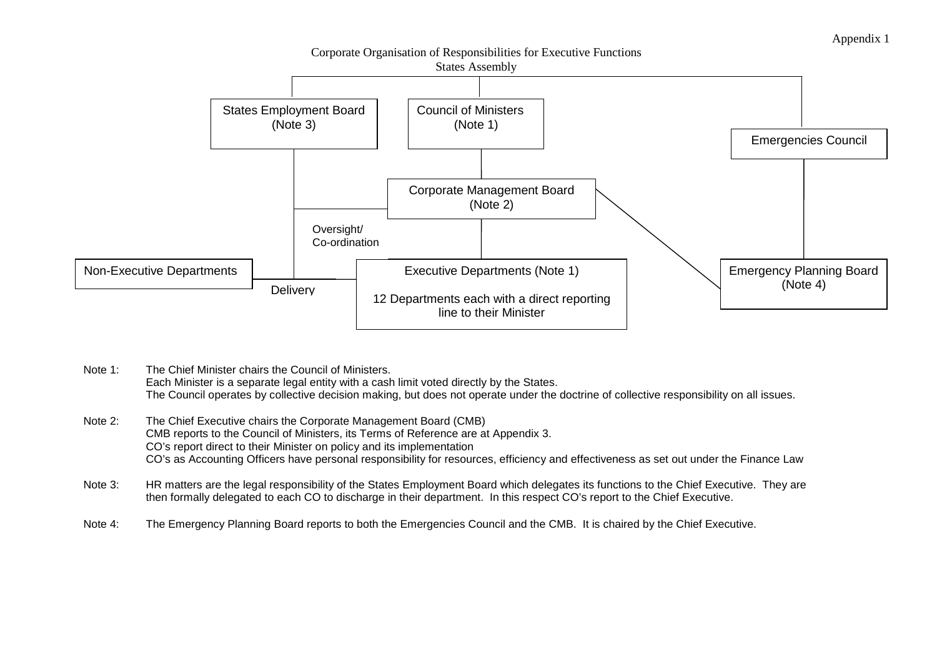Appendix 1

Corporate Organisation of Responsibilities for Executive Functions



- Note 1: The Chief Minister chairs the Council of Ministers. Each Minister is a separate legal entity with a cash limit voted directly by the States. The Council operates by collective decision making, but does not operate under the doctrine of collective responsibility on all issues.
- Note 2: The Chief Executive chairs the Corporate Management Board (CMB) CMB reports to the Council of Ministers, its Terms of Reference are at Appendix 3. CO's report direct to their Minister on policy and its implementation CO's as Accounting Officers have personal responsibility for resources, efficiency and effectiveness as set out under the Finance Law
- Note 3: HR matters are the legal responsibility of the States Employment Board which delegates its functions to the Chief Executive. They are then formally delegated to each CO to discharge in their department. In this respect CO's report to the Chief Executive.
- Note 4: The Emergency Planning Board reports to both the Emergencies Council and the CMB. It is chaired by the Chief Executive.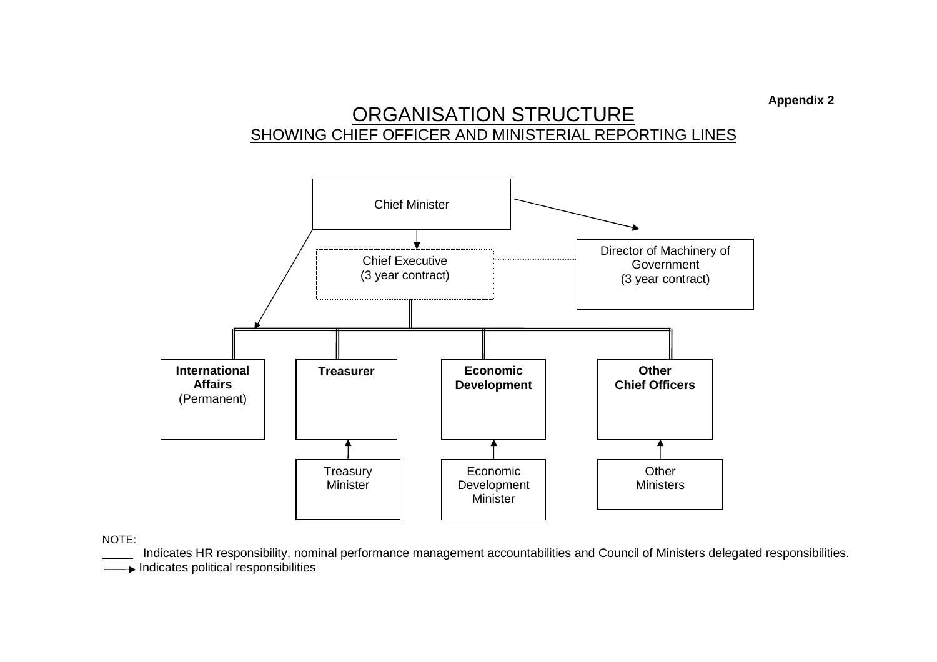**Appendix 2** 

# ORGANISATION STRUCTURESHOWING CHIEF OFFICER AND MINISTERIAL REPORTING LINES



NOTE:

Indicates HR responsibility, nominal performance management accountabilities and Council of Ministers delegated responsibilities.

Indicates political responsibilities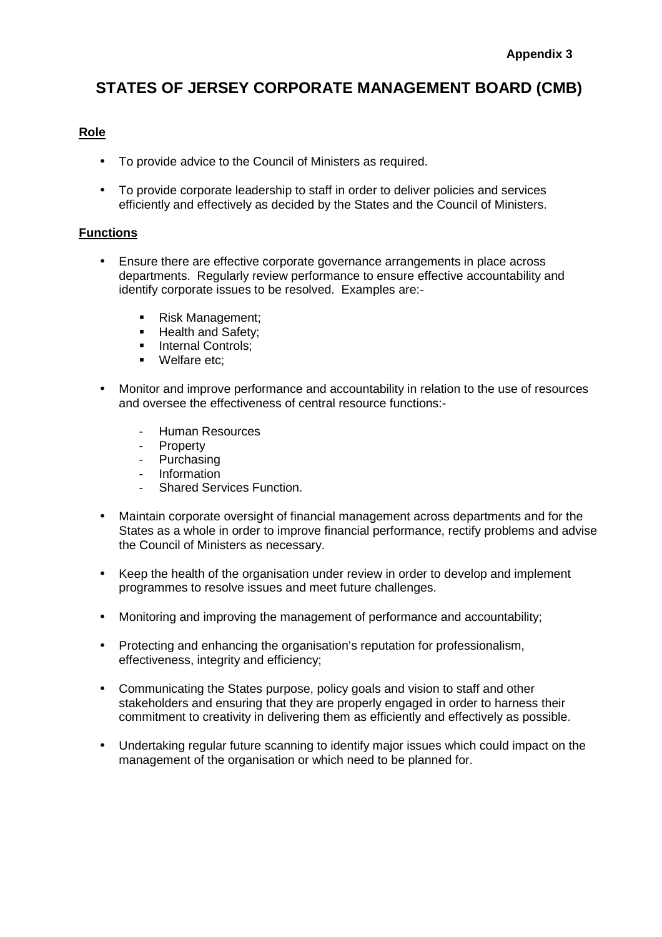# **STATES OF JERSEY CORPORATE MANAGEMENT BOARD (CMB)**

### **Role**

- To provide advice to the Council of Ministers as required.
- To provide corporate leadership to staff in order to deliver policies and services efficiently and effectively as decided by the States and the Council of Ministers.

### **Functions**

- Ensure there are effective corporate governance arrangements in place across departments. Regularly review performance to ensure effective accountability and identify corporate issues to be resolved. Examples are:-
	- Risk Management;
	- **Health and Safety;**
	- **Internal Controls;**
	- Welfare etc:
- Monitor and improve performance and accountability in relation to the use of resources and oversee the effectiveness of central resource functions:-
	- Human Resources
	- Property
	- Purchasing
	- Information
	- Shared Services Function.
- Maintain corporate oversight of financial management across departments and for the States as a whole in order to improve financial performance, rectify problems and advise the Council of Ministers as necessary.
- Keep the health of the organisation under review in order to develop and implement programmes to resolve issues and meet future challenges.
- Monitoring and improving the management of performance and accountability;
- Protecting and enhancing the organisation's reputation for professionalism, effectiveness, integrity and efficiency;
- Communicating the States purpose, policy goals and vision to staff and other stakeholders and ensuring that they are properly engaged in order to harness their commitment to creativity in delivering them as efficiently and effectively as possible.
- Undertaking regular future scanning to identify major issues which could impact on the management of the organisation or which need to be planned for.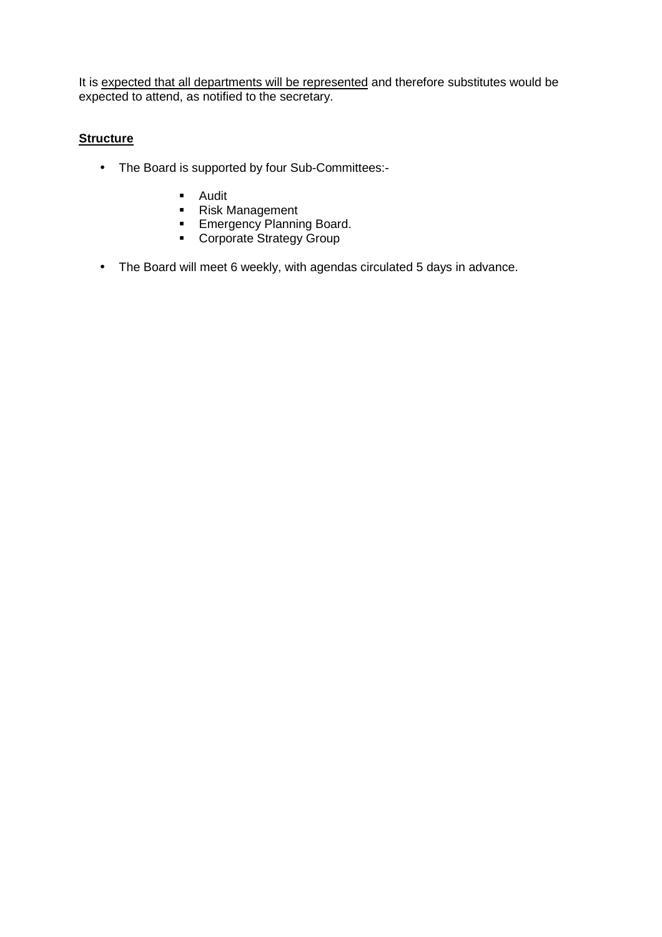It is expected that all departments will be represented and therefore substitutes would be expected to attend, as notified to the secretary.

### **Structure**

- The Board is supported by four Sub-Committees:-
	- **-** Audit
	- Risk Management
	- **Emergency Planning Board.**
	- **Corporate Strategy Group**
- The Board will meet 6 weekly, with agendas circulated 5 days in advance.